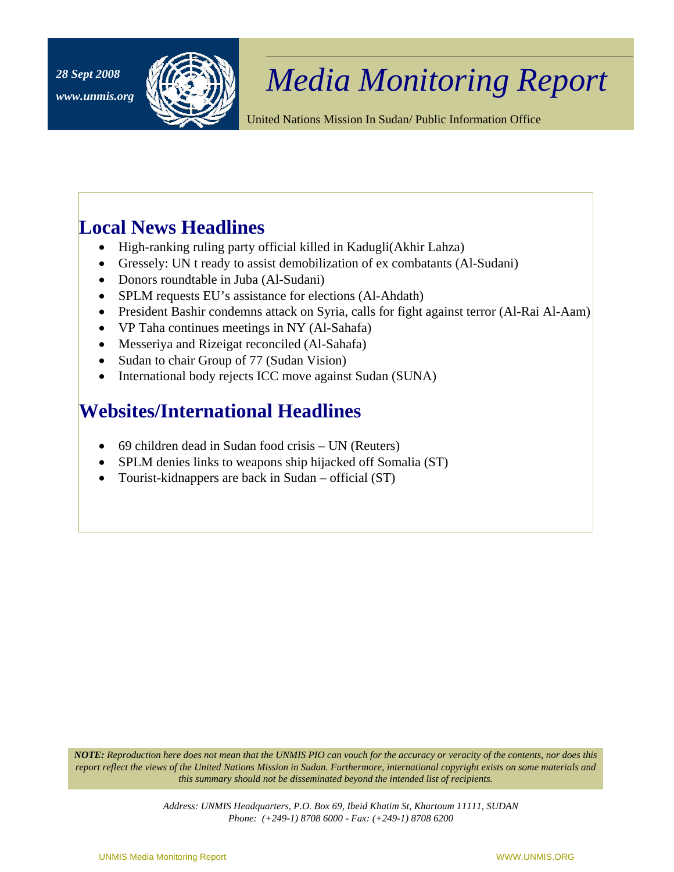

## *Media Monitoring Report 28 Sept 2008*

United Nations Mission In Sudan/ Public Information Office

## **Local News Headlines**

- High-ranking ruling party official killed in Kadugli(Akhir Lahza)
- Gressely: UN t ready to assist demobilization of ex combatants (Al-Sudani)
- Donors roundtable in Juba (Al-Sudani)
- SPLM requests EU's assistance for elections (Al-Ahdath)
- President Bashir condemns attack on Syria, calls for fight against terror (Al-Rai Al-Aam)
- VP Taha continues meetings in NY (Al-Sahafa)
- Messeriya and Rizeigat reconciled (Al-Sahafa)
- Sudan to chair Group of 77 (Sudan Vision)
- International body rejects ICC move against Sudan (SUNA)

## **Websites/International Headlines**

- 69 children dead in Sudan food crisis UN (Reuters)
- SPLM denies links to weapons ship hijacked off Somalia (ST)
- Tourist-kidnappers are back in Sudan official (ST)

*NOTE: Reproduction here does not mean that the UNMIS PIO can vouch for the accuracy or veracity of the contents, nor does this report reflect the views of the United Nations Mission in Sudan. Furthermore, international copyright exists on some materials and this summary should not be disseminated beyond the intended list of recipients.*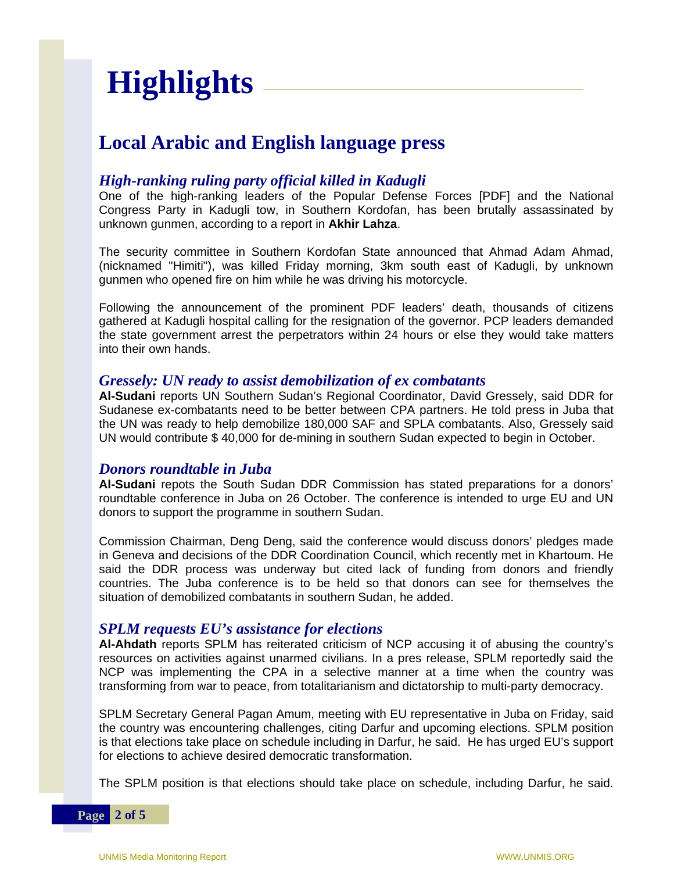# **Highlights**

## **Local Arabic and English language press**

#### *High-ranking ruling party official killed in Kadugli*

One of the high-ranking leaders of the Popular Defense Forces [PDF] and the National Congress Party in Kadugli tow, in Southern Kordofan, has been brutally assassinated by unknown gunmen, according to a report in **Akhir Lahza**.

The security committee in Southern Kordofan State announced that Ahmad Adam Ahmad, (nicknamed "Himiti"), was killed Friday morning, 3km south east of Kadugli, by unknown gunmen who opened fire on him while he was driving his motorcycle.

Following the announcement of the prominent PDF leaders' death, thousands of citizens gathered at Kadugli hospital calling for the resignation of the governor. PCP leaders demanded the state government arrest the perpetrators within 24 hours or else they would take matters into their own hands.

#### *Gressely: UN ready to assist demobilization of ex combatants*

**Al-Sudani** reports UN Southern Sudan's Regional Coordinator, David Gressely, said DDR for Sudanese ex-combatants need to be better between CPA partners. He told press in Juba that the UN was ready to help demobilize 180,000 SAF and SPLA combatants. Also, Gressely said UN would contribute \$ 40,000 for de-mining in southern Sudan expected to begin in October.

#### *Donors roundtable in Juba*

**Al-Sudani** repots the South Sudan DDR Commission has stated preparations for a donors' roundtable conference in Juba on 26 October. The conference is intended to urge EU and UN donors to support the programme in southern Sudan.

Commission Chairman, Deng Deng, said the conference would discuss donors' pledges made in Geneva and decisions of the DDR Coordination Council, which recently met in Khartoum. He said the DDR process was underway but cited lack of funding from donors and friendly countries. The Juba conference is to be held so that donors can see for themselves the situation of demobilized combatants in southern Sudan, he added.

#### *SPLM requests EU's assistance for elections*

**Al-Ahdath** reports SPLM has reiterated criticism of NCP accusing it of abusing the country's resources on activities against unarmed civilians. In a pres release, SPLM reportedly said the NCP was implementing the CPA in a selective manner at a time when the country was transforming from war to peace, from totalitarianism and dictatorship to multi-party democracy.

SPLM Secretary General Pagan Amum, meeting with EU representative in Juba on Friday, said the country was encountering challenges, citing Darfur and upcoming elections. SPLM position is that elections take place on schedule including in Darfur, he said. He has urged EU's support for elections to achieve desired democratic transformation.

The SPLM position is that elections should take place on schedule, including Darfur, he said.

**Page 2 of 5**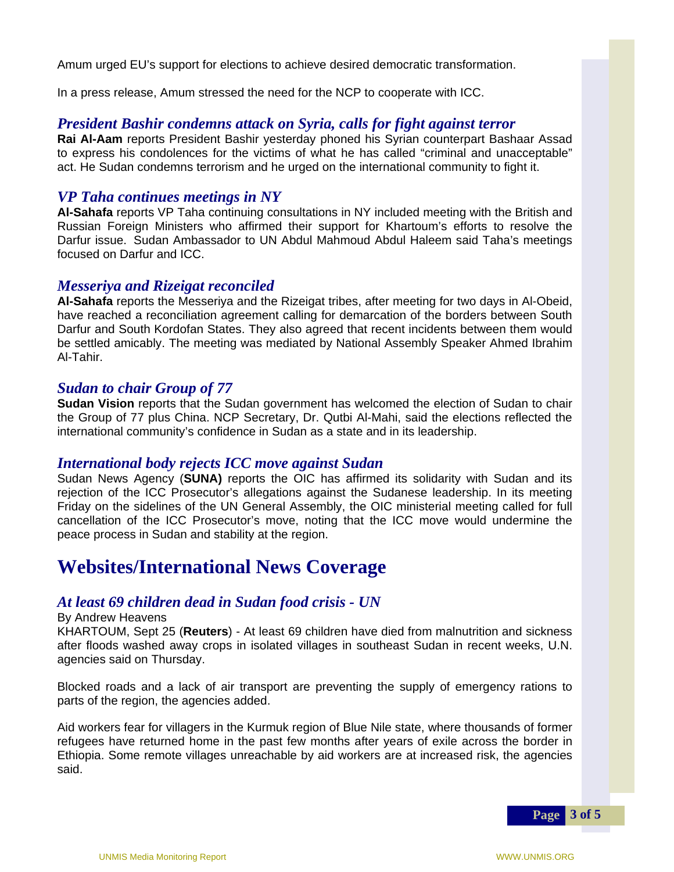Amum urged EU's support for elections to achieve desired democratic transformation.

In a press release, Amum stressed the need for the NCP to cooperate with ICC.

#### *President Bashir condemns attack on Syria, calls for fight against terror*

**Rai Al-Aam** reports President Bashir yesterday phoned his Syrian counterpart Bashaar Assad to express his condolences for the victims of what he has called "criminal and unacceptable" act. He Sudan condemns terrorism and he urged on the international community to fight it.

#### *VP Taha continues meetings in NY*

**Al-Sahafa** reports VP Taha continuing consultations in NY included meeting with the British and Russian Foreign Ministers who affirmed their support for Khartoum's efforts to resolve the Darfur issue. Sudan Ambassador to UN Abdul Mahmoud Abdul Haleem said Taha's meetings focused on Darfur and ICC.

#### *Messeriya and Rizeigat reconciled*

**Al-Sahafa** reports the Messeriya and the Rizeigat tribes, after meeting for two days in Al-Obeid, have reached a reconciliation agreement calling for demarcation of the borders between South Darfur and South Kordofan States. They also agreed that recent incidents between them would be settled amicably. The meeting was mediated by National Assembly Speaker Ahmed Ibrahim Al-Tahir.

#### *Sudan to chair Group of 77*

**Sudan Vision** reports that the Sudan government has welcomed the election of Sudan to chair the Group of 77 plus China. NCP Secretary, Dr. Qutbi Al-Mahi, said the elections reflected the international community's confidence in Sudan as a state and in its leadership.

#### *International body rejects ICC move against Sudan*

Sudan News Agency (**SUNA)** reports the OIC has affirmed its solidarity with Sudan and its rejection of the ICC Prosecutor's allegations against the Sudanese leadership. In its meeting Friday on the sidelines of the UN General Assembly, the OIC ministerial meeting called for full cancellation of the ICC Prosecutor's move, noting that the ICC move would undermine the peace process in Sudan and stability at the region.

### **Websites/International News Coverage**

#### *At least 69 children dead in Sudan food crisis - UN*

#### By Andrew Heavens

KHARTOUM, Sept 25 (**Reuters**) - At least 69 children have died from malnutrition and sickness after floods washed away crops in isolated villages in southeast Sudan in recent weeks, U.N. agencies said on Thursday.

Blocked roads and a lack of air transport are preventing the supply of emergency rations to parts of the region, the agencies added.

Aid workers fear for villagers in the Kurmuk region of Blue Nile state, where thousands of former refugees have returned home in the past few months after years of exile across the border in Ethiopia. Some remote villages unreachable by aid workers are at increased risk, the agencies said.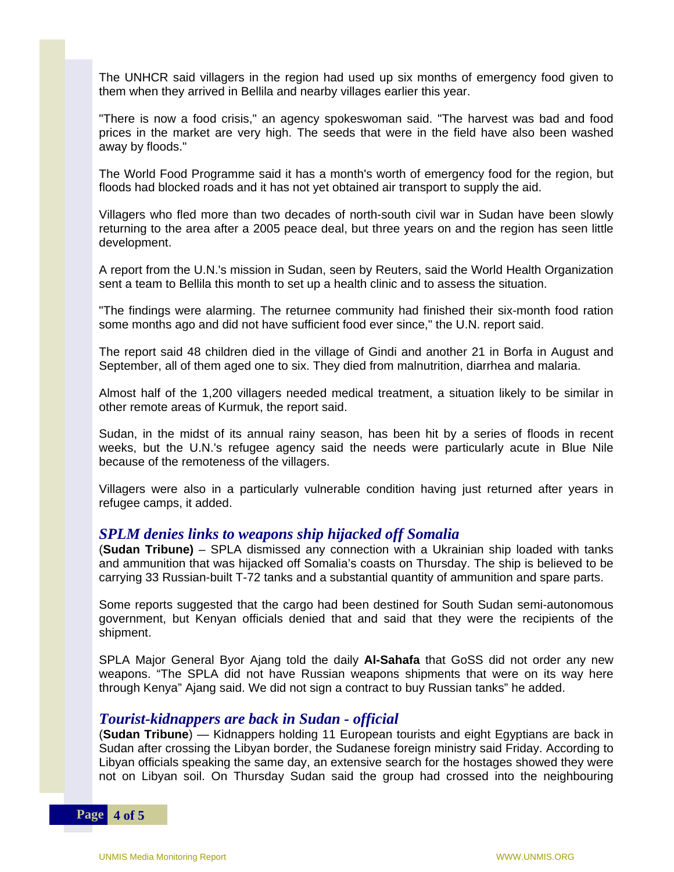The UNHCR said villagers in the region had used up six months of emergency food given to them when they arrived in Bellila and nearby villages earlier this year.

"There is now a food crisis," an agency spokeswoman said. "The harvest was bad and food prices in the market are very high. The seeds that were in the field have also been washed away by floods."

The World Food Programme said it has a month's worth of emergency food for the region, but floods had blocked roads and it has not yet obtained air transport to supply the aid.

Villagers who fled more than two decades of north-south civil war in Sudan have been slowly returning to the area after a 2005 peace deal, but three years on and the region has seen little development.

A report from the U.N.'s mission in Sudan, seen by Reuters, said the World Health Organization sent a team to Bellila this month to set up a health clinic and to assess the situation.

"The findings were alarming. The returnee community had finished their six-month food ration some months ago and did not have sufficient food ever since," the U.N. report said.

The report said 48 children died in the village of Gindi and another 21 in Borfa in August and September, all of them aged one to six. They died from malnutrition, diarrhea and malaria.

Almost half of the 1,200 villagers needed medical treatment, a situation likely to be similar in other remote areas of Kurmuk, the report said.

Sudan, in the midst of its annual rainy season, has been hit by a series of floods in recent weeks, but the U.N.'s refugee agency said the needs were particularly acute in Blue Nile because of the remoteness of the villagers.

Villagers were also in a particularly vulnerable condition having just returned after years in refugee camps, it added.

#### *SPLM denies links to weapons ship hijacked off Somalia*

(**Sudan Tribune)** – SPLA dismissed any connection with a Ukrainian ship loaded with tanks and ammunition that was hijacked off Somalia's coasts on Thursday. The ship is believed to be carrying 33 Russian-built T-72 tanks and a substantial quantity of ammunition and spare parts.

Some reports suggested that the cargo had been destined for South Sudan semi-autonomous government, but Kenyan officials denied that and said that they were the recipients of the shipment.

SPLA Major General Byor Ajang told the daily **Al-Sahafa** that GoSS did not order any new weapons. "The SPLA did not have Russian weapons shipments that were on its way here through Kenya" Ajang said. We did not sign a contract to buy Russian tanks" he added.

#### *Tourist-kidnappers are back in Sudan - official*

(**Sudan Tribune**) — Kidnappers holding 11 European tourists and eight Egyptians are back in Sudan after crossing the Libyan border, the Sudanese foreign ministry said Friday. According to Libyan officials speaking the same day, an extensive search for the hostages showed they were not on Libyan soil. On Thursday Sudan said the group had crossed into the neighbouring

**Page 4 of 5**